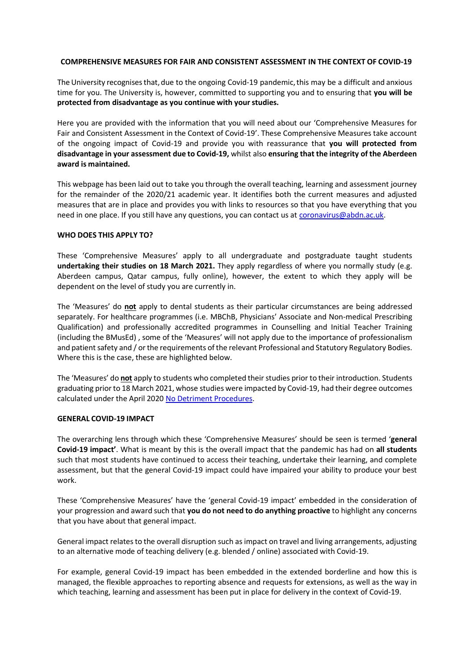### **COMPREHENSIVE MEASURES FOR FAIR AND CONSISTENT ASSESSMENT IN THE CONTEXT OF COVID-19**

The University recognises that, due to the ongoing Covid-19 pandemic, this may be a difficult and anxious time for you. The University is, however, committed to supporting you and to ensuring that **you will be protected from disadvantage as you continue with yourstudies.**

Here you are provided with the information that you will need about our 'Comprehensive Measures for Fair and Consistent Assessment in the Context of Covid-19'. These Comprehensive Measures take account of the ongoing impact of Covid-19 and provide you with reassurance that **you will protected from disadvantage in your assessment due to Covid-19,** whilst also **ensuring that the integrity of the Aberdeen award is maintained.**

This webpage has been laid out to take you through the overall teaching, learning and assessment journey for the remainder of the 2020/21 academic year. It identifies both the current measures and adjusted measures that are in place and provides you with links to resources so that you have everything that you need in one place. If you still have any questions, you can contact us at [coronavirus@abdn.ac.uk.](mailto:coronavirus@abdn.ac.uk)

### **WHO DOES THIS APPLY TO?**

These 'Comprehensive Measures' apply to all undergraduate and postgraduate taught students **undertaking their studies on 18 March 2021.** They apply regardless of where you normally study (e.g. Aberdeen campus, Qatar campus, fully online), however, the extent to which they apply will be dependent on the level of study you are currently in.

The 'Measures' do **not** apply to dental students as their particular circumstances are being addressed separately. For healthcare programmes (i.e. MBChB, Physicians' Associate and Non-medical Prescribing Qualification) and professionally accredited programmes in Counselling and Initial Teacher Training (including the BMusEd) , some of the 'Measures' will not apply due to the importance of professionalism and patient safety and / or the requirements of the relevant Professional and Statutory Regulatory Bodies. Where this is the case, these are highlighted below.

The 'Measures' do **not** apply to students who completed their studies prior to their introduction. Students graduating priorto 18 March 2021, whose studies were impacted by Covid-19, had their degree outcomes calculated under the April 2020 [No Detriment](https://www.abdn.ac.uk/staffnet/documents/registry/No%20Detriment%20Procedures.pdf) Procedures.

### **GENERAL COVID-19 IMPACT**

The overarching lens through which these 'Comprehensive Measures' should be seen is termed '**general Covid-19 impact'**. What is meant by this is the overall impact that the pandemic has had on **all students** such that most students have continued to access their teaching, undertake their learning, and complete assessment, but that the general Covid-19 impact could have impaired your ability to produce your best work.

These 'Comprehensive Measures' have the 'general Covid-19 impact' embedded in the consideration of your progression and award such that **you do not need to do anything proactive** to highlight any concerns that you have about that general impact.

General impact relatesto the overall disruption such as impact on travel and living arrangements, adjusting to an alternative mode of teaching delivery (e.g. blended / online) associated with Covid-19.

For example, general Covid-19 impact has been embedded in the extended borderline and how this is managed, the flexible approaches to reporting absence and requests for extensions, as well as the way in which teaching, learning and assessment has been put in place for delivery in the context of Covid-19.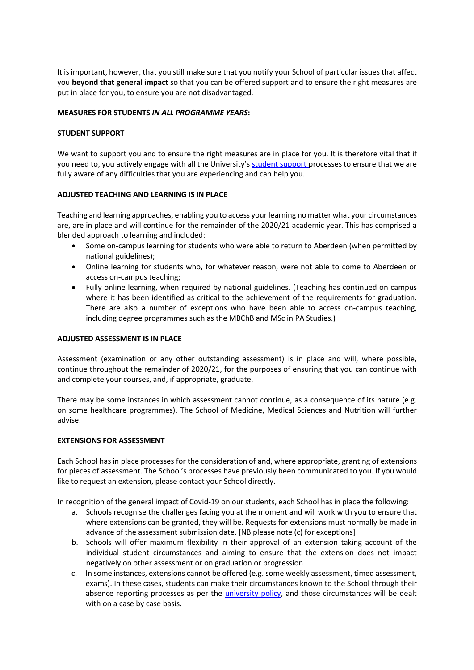It is important, however, that you still make sure that you notify your School of particular issues that affect you **beyond that general impact** so that you can be offered support and to ensure the right measures are put in place for you, to ensure you are not disadvantaged.

# **MEASURES FOR STUDENTS** *IN ALL PROGRAMME YEARS***:**

### **STUDENT SUPPORT**

We want to support you and to ensure the right measures are in place for you. It is therefore vital that if you need to, you actively engage with all the University's student [support](https://www.abdn.ac.uk/students/new-students/support-and-resources-4012.php) processes to ensure that we are fully aware of any difficulties that you are experiencing and can help you.

# **ADJUSTED TEACHING AND LEARNING IS IN PLACE**

Teaching and learning approaches, enabling you to access your learning no matter what your circumstances are, are in place and will continue for the remainder of the 2020/21 academic year. This has comprised a blended approach to learning and included:

- Some on-campus learning for students who were able to return to Aberdeen (when permitted by national guidelines);
- Online learning for students who, for whatever reason, were not able to come to Aberdeen or access on-campus teaching;
- Fully online learning, when required by national guidelines. (Teaching has continued on campus where it has been identified as critical to the achievement of the requirements for graduation. There are also a number of exceptions who have been able to access on-campus teaching, including degree programmes such as the MBChB and MSc in PA Studies.)

### **ADJUSTED ASSESSMENT IS IN PLACE**

Assessment (examination or any other outstanding assessment) is in place and will, where possible, continue throughout the remainder of 2020/21, for the purposes of ensuring that you can continue with and complete your courses, and, if appropriate, graduate.

There may be some instances in which assessment cannot continue, as a consequence of its nature (e.g. on some healthcare programmes). The School of Medicine, Medical Sciences and Nutrition will further advise.

### **EXTENSIONS FOR ASSESSMENT**

Each School has in place processes for the consideration of and, where appropriate, granting of extensions for pieces of assessment. The School's processes have previously been communicated to you. If you would like to request an extension, please contact your School directly.

In recognition of the general impact of Covid-19 on our students, each School has in place the following:

- a. Schools recognise the challenges facing you at the moment and will work with you to ensure that where extensions can be granted, they will be. Requests for extensions must normally be made in advance of the assessment submission date. [NB please note (c) for exceptions]
- b. Schools will offer maximum flexibility in their approval of an extension taking account of the individual student circumstances and aiming to ensure that the extension does not impact negatively on other assessment or on graduation or progression.
- c. In some instances, extensions cannot be offered (e.g. some weekly assessment, timed assessment, exams). In these cases, students can make their circumstances known to the School through their absence reporting processes as per the [university policy, a](https://abdn.blackboard.com/bbcswebdav/pid-592645-dt-content-rid-1657580_1/orgs/SCH_DHP_UG/NEW%20POLICY%20AND%20PROCEDURES%20ON%20STUDENT%20ABSENCE%202013-2014.pdf)nd those circumstances will be dealt with on a case by case basis.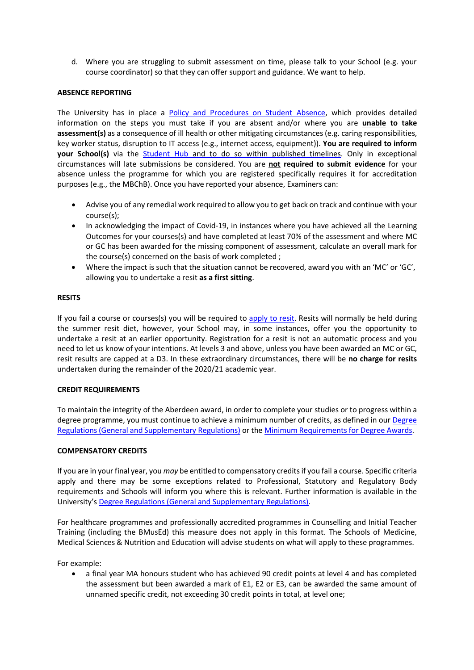d. Where you are struggling to submit assessment on time, please talk to your School (e.g. your course coordinator) so that they can offer support and guidance. We want to help.

# **ABSENCE REPORTING**

The University has in place a Policy and [Procedures](https://www.abdn.ac.uk/staffnet/documents/academic-quality-handbook/Policy%20-%20Student%20Absence.pdf) on Student Absence, which provides detailed information on the steps you must take if you are absent and/or where you are **unable to take assessment(s)** as a consequence of ill health or other mitigating circumstances(e.g. caring responsibilities, key worker status, disruption to IT access (e.g., internet access, equipment)). **You are required to inform your School(s)** via the [Student](https://www.abdn.ac.uk/studenthub/login) Hub and to do so within published timelines. Only in exceptional circumstances will late submissions be considered. You are **not required to submit evidence** for your absence unless the programme for which you are registered specifically requires it for accreditation purposes (e.g., the MBChB). Once you have reported your absence, Examiners can:

- Advise you of any remedial work required to allow you to get back on track and continue with your course(s);
- In acknowledging the impact of Covid-19, in instances where you have achieved all the Learning Outcomes for your courses(s) and have completed at least 70% of the assessment and where MC or GC has been awarded for the missing component of assessment, calculate an overall mark for the course(s) concerned on the basis of work completed ;
- Where the impact is such that the situation cannot be recovered, award you with an 'MC' or 'GC', allowing you to undertake a resit **as a first sitting**.

# **RESITS**

If you fail a course or courses(s) you will be required to [apply to resit. R](https://www.abdn.ac.uk/students/academic-life/reassessment-3502.php#panel2366)esits will normally be held during the summer resit diet, however, your School may, in some instances, offer you the opportunity to undertake a resit at an earlier opportunity. Registration for a resit is not an automatic process and you need to let us know of your intentions. At levels 3 and above, unless you have been awarded an MC or GC, resit results are capped at a D3. In these extraordinary circumstances, there will be **no charge for resits** undertaken during the remainder of the 2020/21 academic year.

### **CREDIT REQUIREMENTS**

To maintain the integrity of the Aberdeen award, in order to complete your studies or to progress within a degree programme, you must continue to achieve a minimum number of credits, as defined in our [Degree](https://www.abdn.ac.uk/registry/calendar/) [Regulations\(](https://www.abdn.ac.uk/registry/calendar/)General and Supplementary Regulations) or the Minimum [Requirements](https://www.abdn.ac.uk/staffnet/documents/academic-quality-handbook/AandF%20-%20Minimum%20Credit%20Requirements%20for%20Awards%20UG%20and%20PGT.pdf) for Degree Awards.

### **COMPENSATORY CREDITS**

If you are in your final year, you *may* be entitled to compensatory creditsif you fail a course. Specific criteria apply and there may be some exceptions related to Professional, Statutory and Regulatory Body requirements and Schools will inform you where this is relevant. Further information is available in the University's Degree [Regulations \(](https://www.abdn.ac.uk/registry/calendar/)General and Supplementary Regulations).

For healthcare programmes and professionally accredited programmes in Counselling and Initial Teacher Training (including the BMusEd) this measure does not apply in this format. The Schools of Medicine, Medical Sciences & Nutrition and Education will advise students on what will apply to these programmes.

For example:

• a final year MA honours student who has achieved 90 credit points at level 4 and has completed the assessment but been awarded a mark of E1, E2 or E3, can be awarded the same amount of unnamed specific credit, not exceeding 30 credit points in total, at level one;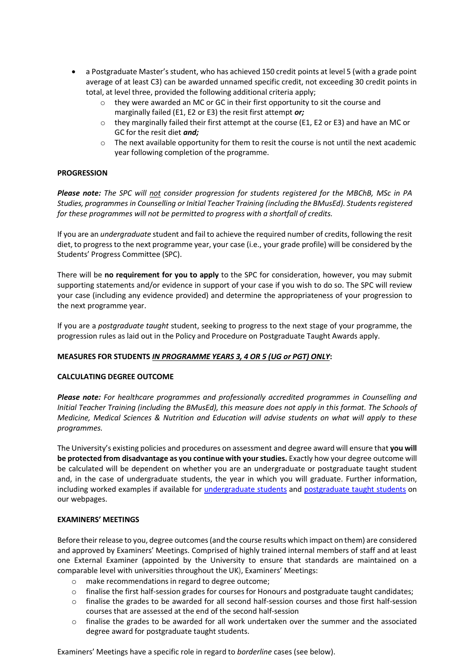- a Postgraduate Master's student, who has achieved 150 credit points at level 5 (with a grade point average of at least C3) can be awarded unnamed specific credit, not exceeding 30 credit points in total, at level three, provided the following additional criteria apply;
	- o they were awarded an MC or GC in their first opportunity to sit the course and marginally failed (E1, E2 or E3) the resit first attempt *or;*
	- $\circ$  they marginally failed their first attempt at the course (E1, E2 or E3) and have an MC or GC for the resit diet *and;*
	- o The next available opportunity for them to resit the course is not until the next academic year following completion of the programme.

# **PROGRESSION**

*Please note: The SPC will not consider progression for students registered for the MBChB, MSc in PA Studies, programmesin Counselling or Initial Teacher Training (including the BMusEd). Studentsregistered for these programmes will not be permitted to progress with a shortfall of credits.*

If you are an *undergraduate* student and fail to achieve the required number of credits, following the resit diet, to progressto the next programme year, your case (i.e., your grade profile) will be considered by the Students' Progress Committee (SPC).

There will be **no requirement for you to apply** to the SPC for consideration, however, you may submit supporting statements and/or evidence in support of your case if you wish to do so. The SPC will review your case (including any evidence provided) and determine the appropriateness of your progression to the next programme year.

If you are a *postgraduate taught* student, seeking to progress to the next stage of your programme, the progression rules as laid out in the Policy and Procedure on Postgraduate Taught Awards apply.

### **MEASURES FOR STUDENTS** *IN PROGRAMME YEARS 3, 4 OR 5 (UG or PGT) ONLY***:**

# **CALCULATING DEGREE OUTCOME**

*Please note: For healthcare programmes and professionally accredited programmes in Counselling and Initial Teacher Training (including the BMusEd), this measure does not apply in this format. The Schools of Medicine, Medical Sciences & Nutrition and Education will advise students on what will apply to these programmes.*

The University's existing policies and procedures on assessment and degree award will ensure that **you will be protected from disadvantage as you continue with yourstudies.** Exactly how your degree outcome will be calculated will be dependent on whether you are an undergraduate or postgraduate taught student and, in the case of undergraduate students, the year in which you will graduate. Further information, including worked examples if available for [undergraduate students](https://www.abdn.ac.uk/staffnet/teaching/undergraduate-degree-classification-9156.php) and [postgraduate taught students](https://www.abdn.ac.uk/staffnet/teaching/pgt-award-and-classification--9157.php) on our webpages.

### **EXAMINERS' MEETINGS**

Before their release to you, degree outcomes (and the course results which impact on them) are considered and approved by Examiners' Meetings. Comprised of highly trained internal members of staff and at least one External Examiner (appointed by the University to ensure that standards are maintained on a comparable level with universities throughout the UK), Examiners' Meetings:

- o make recommendations in regard to degree outcome;
- $\circ$  finalise the first half-session grades for courses for Honours and postgraduate taught candidates;
- o finalise the grades to be awarded for all second half-session courses and those first half-session courses that are assessed at the end of the second half-session
- o finalise the grades to be awarded for all work undertaken over the summer and the associated degree award for postgraduate taught students.

Examiners' Meetings have a specific role in regard to *borderline* cases (see below).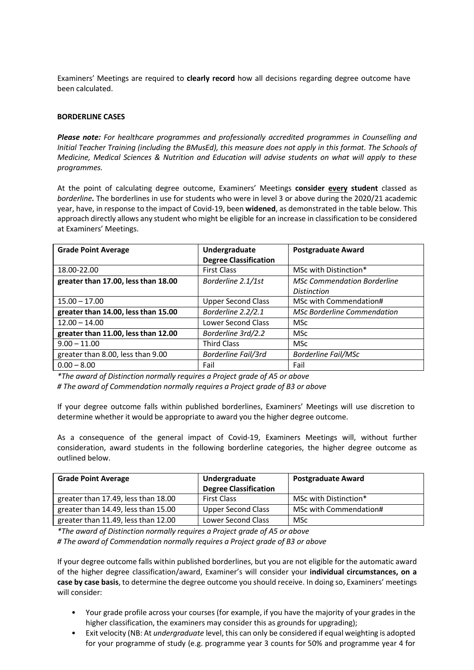Examiners' Meetings are required to **clearly record** how all decisions regarding degree outcome have been calculated.

### **BORDERLINE CASES**

*Please note: For healthcare programmes and professionally accredited programmes in Counselling and Initial Teacher Training (including the BMusEd), this measure does not apply in this format. The Schools of Medicine, Medical Sciences & Nutrition and Education will advise students on what will apply to these programmes.*

At the point of calculating degree outcome, Examiners' Meetings **consider every student** classed as *borderline.* The borderlines in use for students who were in level 3 or above during the 2020/21 academic year, have, in response to the impact of Covid-19, been **widened**, as demonstrated in the table below. This approach directly allows any student who might be eligible for an increase in classification to be considered at Examiners' Meetings.

| <b>Grade Point Average</b>          | Undergraduate                | <b>Postgraduate Award</b>          |
|-------------------------------------|------------------------------|------------------------------------|
|                                     | <b>Degree Classification</b> |                                    |
| 18.00-22.00                         | <b>First Class</b>           | MSc with Distinction*              |
| greater than 17.00, less than 18.00 | Borderline 2.1/1st           | <b>MSc Commendation Borderline</b> |
|                                     |                              | <b>Distinction</b>                 |
| $15.00 - 17.00$                     | <b>Upper Second Class</b>    | MSc with Commendation#             |
| greater than 14.00, less than 15.00 | Borderline 2.2/2.1           | <b>MSc Borderline Commendation</b> |
| $12.00 - 14.00$                     | Lower Second Class           | <b>MSc</b>                         |
| greater than 11.00, less than 12.00 | Borderline 3rd/2.2           | <b>MSc</b>                         |
| $9.00 - 11.00$                      | <b>Third Class</b>           | <b>MSc</b>                         |
| greater than 8.00, less than 9.00   | <b>Borderline Fail/3rd</b>   | <b>Borderline Fail/MSc</b>         |
| $0.00 - 8.00$                       | Fail                         | Fail                               |

*\*The award of Distinction normally requires a Project grade of A5 or above*

*# The award of Commendation normally requires a Project grade of B3 or above*

If your degree outcome falls within published borderlines, Examiners' Meetings will use discretion to determine whether it would be appropriate to award you the higher degree outcome.

As a consequence of the general impact of Covid-19, Examiners Meetings will, without further consideration, award students in the following borderline categories, the higher degree outcome as outlined below.

| <b>Grade Point Average</b>          | Undergraduate<br><b>Degree Classification</b> | <b>Postgraduate Award</b> |
|-------------------------------------|-----------------------------------------------|---------------------------|
| greater than 17.49, less than 18.00 | <b>First Class</b>                            | MSc with Distinction*     |
| greater than 14.49, less than 15.00 | <b>Upper Second Class</b>                     | MSc with Commendation#    |
| greater than 11.49, less than 12.00 | Lower Second Class                            | <b>MSc</b>                |

*\*The award of Distinction normally requires a Project grade of A5 or above # The award of Commendation normally requires a Project grade of B3 or above*

If your degree outcome falls within published borderlines, but you are not eligible for the automatic award of the higher degree classification/award, Examiner's will consider your **individual circumstances, on a case by case basis**, to determine the degree outcome you should receive. In doing so, Examiners' meetings will consider:

- Your grade profile across your courses (for example, if you have the majority of your grades in the higher classification, the examiners may consider this as grounds for upgrading);
- Exit velocity (NB: At *undergraduate* level, this can only be considered if equal weighting is adopted for your programme of study (e.g. programme year 3 counts for 50% and programme year 4 for